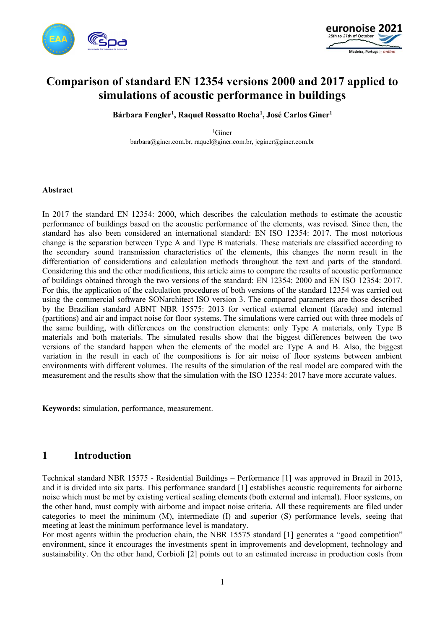



# **Comparison of standard EN 12354 versions 2000 and 2017 applied to simulations of acoustic performance in buildings**

**Bárbara Fengler<sup>1</sup> , Raquel Rossatto Rocha<sup>1</sup> , José Carlos Giner<sup>1</sup>**

 ${}^{1}$ Giner barbara@giner.com.br, raquel@giner.com.br, jcginer@giner.com.br

#### **Abstract**

In 2017 the standard EN 12354: 2000, which describes the calculation methods to estimate the acoustic performance of buildings based on the acoustic performance of the elements, was revised. Since then, the standard has also been considered an international standard: EN ISO 12354: 2017. The most notorious change is the separation between Type A and Type B materials. These materials are classified according to the secondary sound transmission characteristics of the elements, this changes the norm result in the differentiation of considerations and calculation methods throughout the text and parts of the standard. Considering this and the other modifications, this article aims to compare the results of acoustic performance of buildings obtained through the two versions of the standard: EN 12354: 2000 and EN ISO 12354: 2017. For this, the application of the calculation procedures of both versions of the standard 12354 was carried out using the commercial software SONarchitect ISO version 3. The compared parameters are those described by the Brazilian standard ABNT NBR 15575: 2013 for vertical external element (facade) and internal (partitions) and air and impact noise for floor systems. The simulations were carried out with three models of the same building, with differences on the construction elements: only Type A materials, only Type B materials and both materials. The simulated results show that the biggest differences between the two versions of the standard happen when the elements of the model are Type A and B. Also, the biggest variation in the result in each of the compositions is for air noise of floor systems between ambient environments with different volumes. The results of the simulation of the real model are compared with the measurement and the results show that the simulation with the ISO 12354: 2017 have more accurate values.

**Keywords:** simulation, performance, measurement.

### **1 Introduction**

Technical standard NBR 15575 - Residential Buildings – Performance [1] was approved in Brazil in 2013, and it is divided into six parts. This performance standard [1] establishes acoustic requirements for airborne noise which must be met by existing vertical sealing elements (both external and internal). Floor systems, on the other hand, must comply with airborne and impact noise criteria. All these requirements are filed under categories to meet the minimum (M), intermediate (I) and superior (S) performance levels, seeing that meeting at least the minimum performance level is mandatory.

For most agents within the production chain, the NBR 15575 standard [1] generates a "good competition" environment, since it encourages the investments spent in improvements and development, technology and sustainability. On the other hand, Corbioli [2] points out to an estimated increase in production costs from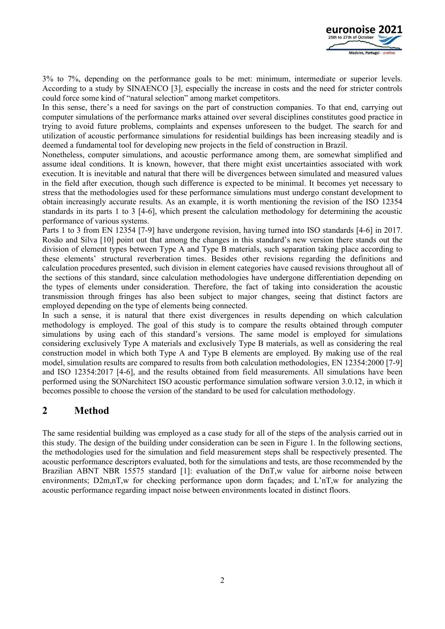

3% to 7%, depending on the performance goals to be met: minimum, intermediate or superior levels. According to a study by SINAENCO [3], especially the increase in costs and the need for stricter controls could force some kind of "natural selection" among market competitors.

In this sense, there's a need for savings on the part of construction companies. To that end, carrying out computer simulations of the performance marks attained over several disciplines constitutes good practice in trying to avoid future problems, complaints and expenses unforeseen to the budget. The search for and utilization of acoustic performance simulations for residential buildings has been increasing steadily and is deemed a fundamental tool for developing new projects in the field of construction in Brazil.

Nonetheless, computer simulations, and acoustic performance among them, are somewhat simplified and assume ideal conditions. It is known, however, that there might exist uncertainties associated with work execution. It is inevitable and natural that there will be divergences between simulated and measured values in the field after execution, though such difference is expected to be minimal. It becomes yet necessary to stress that the methodologies used for these performance simulations must undergo constant development to obtain increasingly accurate results. As an example, it is worth mentioning the revision of the ISO 12354 standards in its parts 1 to 3 [4-6], which present the calculation methodology for determining the acoustic performance of various systems.

Parts 1 to 3 from EN 12354 [7-9] have undergone revision, having turned into ISO standards [4-6] in 2017. Rosão and Silva [10] point out that among the changes in this standard's new version there stands out the division of element types between Type A and Type B materials, such separation taking place according to these elements' structural reverberation times. Besides other revisions regarding the definitions and calculation procedures presented, such division in element categories have caused revisions throughout all of the sections of this standard, since calculation methodologies have undergone differentiation depending on the types of elements under consideration. Therefore, the fact of taking into consideration the acoustic transmission through fringes has also been subject to major changes, seeing that distinct factors are employed depending on the type of elements being connected.

In such a sense, it is natural that there exist divergences in results depending on which calculation methodology is employed. The goal of this study is to compare the results obtained through computer simulations by using each of this standard's versions. The same model is employed for simulations considering exclusively Type A materials and exclusively Type B materials, as well as considering the real construction model in which both Type A and Type B elements are employed. By making use of the real model, simulation results are compared to results from both calculation methodologies, EN 12354:2000 [7-9] and ISO 12354:2017 [4-6], and the results obtained from field measurements. All simulations have been performed using the SONarchitect ISO acoustic performance simulation software version 3.0.12, in which it becomes possible to choose the version of the standard to be used for calculation methodology.

# **2 Method**

The same residential building was employed as a case study for all of the steps of the analysis carried out in this study. The design of the building under consideration can be seen in Figure 1. In the following sections, the methodologies used for the simulation and field measurement steps shall be respectively presented. The acoustic performance descriptors evaluated, both for the simulations and tests, are those recommended by the Brazilian ABNT NBR 15575 standard [1]: evaluation of the DnT,w value for airborne noise between environments; D2m,nT,w for checking performance upon dorm façades; and L'nT,w for analyzing the acoustic performance regarding impact noise between environments located in distinct floors.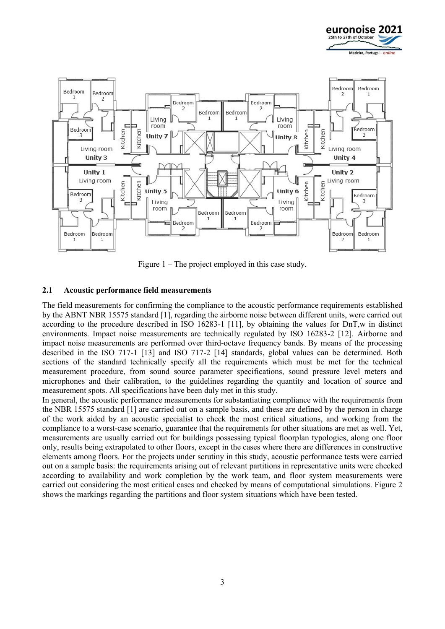



Figure 1 – The project employed in this case study.

#### **2.1 Acoustic performance field measurements**

The field measurements for confirming the compliance to the acoustic performance requirements established by the ABNT NBR 15575 standard [1], regarding the airborne noise between different units, were carried out according to the procedure described in ISO 16283-1 [11], by obtaining the values for DnT,w in distinct environments. Impact noise measurements are technically regulated by ISO 16283-2 [12]. Airborne and impact noise measurements are performed over third-octave frequency bands. By means of the processing described in the ISO 717-1 [13] and ISO 717-2 [14] standards, global values can be determined. Both sections of the standard technically specify all the requirements which must be met for the technical measurement procedure, from sound source parameter specifications, sound pressure level meters and microphones and their calibration, to the guidelines regarding the quantity and location of source and measurement spots. All specifications have been duly met in this study.

In general, the acoustic performance measurements for substantiating compliance with the requirements from the NBR 15575 standard [1] are carried out on a sample basis, and these are defined by the person in charge of the work aided by an acoustic specialist to check the most critical situations, and working from the compliance to a worst-case scenario, guarantee that the requirements for other situations are met as well. Yet, measurements are usually carried out for buildings possessing typical floorplan typologies, along one floor only, results being extrapolated to other floors, except in the cases where there are differences in constructive elements among floors. For the projects under scrutiny in this study, acoustic performance tests were carried out on a sample basis: the requirements arising out of relevant partitions in representative units were checked according to availability and work completion by the work team, and floor system measurements were carried out considering the most critical cases and checked by means of computational simulations. Figure 2 shows the markings regarding the partitions and floor system situations which have been tested.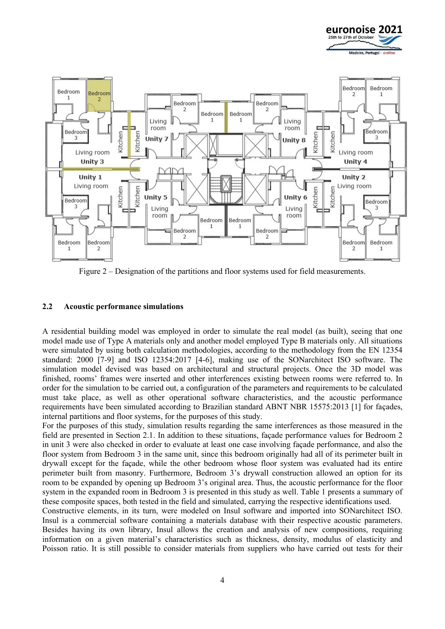



Figure 2 – Designation of the partitions and floor systems used for field measurements.

#### **2.2 Acoustic performance simulations**

A residential building model was employed in order to simulate the real model (as built), seeing that one model made use of Type A materials only and another model employed Type B materials only. All situations were simulated by using both calculation methodologies, according to the methodology from the EN 12354 standard: 2000 [7-9] and ISO 12354:2017 [4-6], making use of the SONarchitect ISO software. The simulation model devised was based on architectural and structural projects. Once the 3D model was finished, rooms' frames were inserted and other interferences existing between rooms were referred to. In order for the simulation to be carried out, a configuration of the parameters and requirements to be calculated must take place, as well as other operational software characteristics, and the acoustic performance requirements have been simulated according to Brazilian standard ABNT NBR 15575:2013 [1] for façades, internal partitions and floor systems, for the purposes of this study.

For the purposes of this study, simulation results regarding the same interferences as those measured in the field are presented in Section 2.1. In addition to these situations, façade performance values for Bedroom 2 in unit 3 were also checked in order to evaluate at least one case involving façade performance, and also the floor system from Bedroom 3 in the same unit, since this bedroom originally had all of its perimeter built in drywall except for the façade, while the other bedroom whose floor system was evaluated had its entire perimeter built from masonry. Furthermore, Bedroom 3's drywall construction allowed an option for its room to be expanded by opening up Bedroom 3's original area. Thus, the acoustic performance for the floor system in the expanded room in Bedroom 3 is presented in this study as well. Table 1 presents a summary of these composite spaces, both tested in the field and simulated, carrying the respective identifications used.

Constructive elements, in its turn, were modeled on Insul software and imported into SONarchitect ISO. Insul is a commercial software containing a materials database with their respective acoustic parameters. Besides having its own library, Insul allows the creation and analysis of new compositions, requiring information on a given material's characteristics such as thickness, density, modulus of elasticity and Poisson ratio. It is still possible to consider materials from suppliers who have carried out tests for their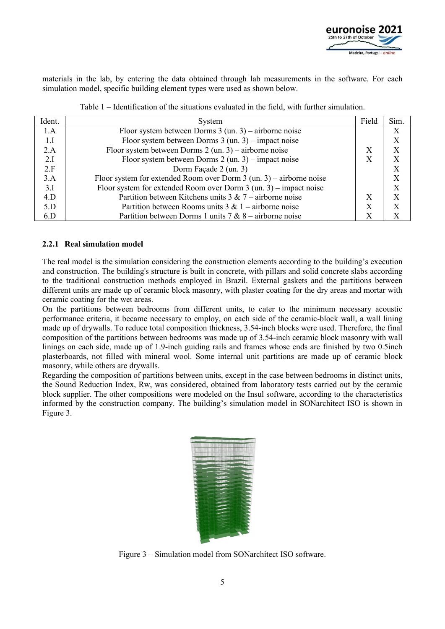

materials in the lab, by entering the data obtained through lab measurements in the software. For each simulation model, specific building element types were used as shown below.

| Ident. | System                                                                | Field | Sim. |
|--------|-----------------------------------------------------------------------|-------|------|
| 1.A    | Floor system between Dorms $3$ (un. 3) – airborne noise               |       | X    |
| 1.I    | Floor system between Dorms $3$ (un. 3) – impact noise                 |       |      |
| 2.A    | Floor system between Dorms $2$ (un. 3) – airborne noise               | X     | X    |
| 2.I    | Floor system between Dorms $2 \text{ (un. 3)}$ – impact noise         | Χ     |      |
| 2.F    | Dorm Façade 2 (un. 3)                                                 |       | X    |
| 3.A    | Floor system for extended Room over Dorm $3$ (un. 3) – airborne noise |       | X    |
| 3.I    | Floor system for extended Room over Dorm $3$ (un. 3) – impact noise   |       |      |
| 4.D    | Partition between Kitchens units $3 & 7$ – airborne noise             | X     |      |
| 5.D    | Partition between Rooms units $3 & 1$ – airborne noise                | X     |      |
| 6.D    | Partition between Dorms 1 units $7 & 8 -$ airborne noise              |       |      |

Table 1 – Identification of the situations evaluated in the field, with further simulation.

#### **2.2.1 Real simulation model**

The real model is the simulation considering the construction elements according to the building's execution and construction. The building's structure is built in concrete, with pillars and solid concrete slabs according to the traditional construction methods employed in Brazil. External gaskets and the partitions between different units are made up of ceramic block masonry, with plaster coating for the dry areas and mortar with ceramic coating for the wet areas.

On the partitions between bedrooms from different units, to cater to the minimum necessary acoustic performance criteria, it became necessary to employ, on each side of the ceramic-block wall, a wall lining made up of drywalls. To reduce total composition thickness, 3.54-inch blocks were used. Therefore, the final composition of the partitions between bedrooms was made up of 3.54-inch ceramic block masonry with wall linings on each side, made up of 1.9-inch guiding rails and frames whose ends are finished by two 0.5inch plasterboards, not filled with mineral wool. Some internal unit partitions are made up of ceramic block masonry, while others are drywalls.

Regarding the composition of partitions between units, except in the case between bedrooms in distinct units, the Sound Reduction Index, Rw, was considered, obtained from laboratory tests carried out by the ceramic block supplier. The other compositions were modeled on the Insul software, according to the characteristics informed by the construction company. The building's simulation model in SONarchitect ISO is shown in Figure 3.

| <b>TIME</b><br>71           | <br>m                                | п<br>TTT.              |         |
|-----------------------------|--------------------------------------|------------------------|---------|
|                             |                                      |                        |         |
|                             |                                      |                        | m       |
|                             |                                      |                        |         |
| <b>BIRTHDAY OF BUILDING</b> |                                      | ı                      |         |
| haveymillillingen           |                                      | <b>BE IN THE BELLE</b> |         |
| <b>CONTRACTOR</b>           | <b><i><u>STERN COMMUNIST</u></i></b> | mus                    |         |
|                             |                                      | <b>A DITIRE</b>        |         |
|                             |                                      | <b>PALLS IN</b>        |         |
|                             |                                      |                        | 四面      |
| B                           |                                      |                        | 46      |
|                             |                                      |                        | œ       |
|                             |                                      |                        | 11<br>œ |
|                             |                                      |                        | n       |
|                             |                                      |                        |         |
|                             |                                      |                        |         |
|                             |                                      |                        |         |
|                             |                                      |                        |         |
|                             |                                      |                        |         |
|                             |                                      |                        |         |
|                             |                                      |                        |         |
|                             |                                      |                        |         |
|                             |                                      |                        |         |

Figure 3 – Simulation model from SONarchitect ISO software.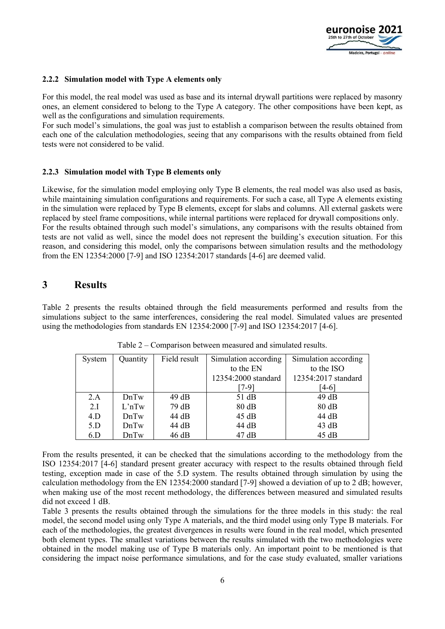

#### **2.2.2 Simulation model with Type A elements only**

For this model, the real model was used as base and its internal drywall partitions were replaced by masonry ones, an element considered to belong to the Type A category. The other compositions have been kept, as well as the configurations and simulation requirements.

For such model's simulations, the goal was just to establish a comparison between the results obtained from each one of the calculation methodologies, seeing that any comparisons with the results obtained from field tests were not considered to be valid.

#### **2.2.3 Simulation model with Type B elements only**

Likewise, for the simulation model employing only Type B elements, the real model was also used as basis, while maintaining simulation configurations and requirements. For such a case, all Type A elements existing in the simulation were replaced by Type B elements, except for slabs and columns. All external gaskets were replaced by steel frame compositions, while internal partitions were replaced for drywall compositions only. For the results obtained through such model's simulations, any comparisons with the results obtained from tests are not valid as well, since the model does not represent the building's execution situation. For this reason, and considering this model, only the comparisons between simulation results and the methodology from the EN 12354:2000 [7-9] and ISO 12354:2017 standards [4-6] are deemed valid.

### **3 Results**

Table 2 presents the results obtained through the field measurements performed and results from the simulations subject to the same interferences, considering the real model. Simulated values are presented using the methodologies from standards EN 12354:2000 [7-9] and ISO 12354:2017 [4-6].

| System | Quantity           | Field result | Simulation according<br>Simulation according |                     |
|--------|--------------------|--------------|----------------------------------------------|---------------------|
|        |                    |              | to the EN                                    | to the ISO          |
|        |                    |              | 12354:2000 standard                          | 12354:2017 standard |
|        |                    |              | 7-91                                         | [4-6]               |
| 2.A    | DnTw               | 49dB         | 51 dB                                        | 49dB                |
| 2.I    | L <sup>in</sup> Tw | 79 dB        | 80 dB                                        | 80 dB               |
| 4.D    | DnTw               | 44 dB        | 45 dB                                        | 44 dB               |
| 5.D    | DnTw               | 44 dB        | 44 dB                                        | 43 dB               |
| 6.D    | DnTw               | 46dB         | 47 dB                                        | 45 dB               |

Table 2 – Comparison between measured and simulated results.

From the results presented, it can be checked that the simulations according to the methodology from the ISO 12354:2017 [4-6] standard present greater accuracy with respect to the results obtained through field testing, exception made in case of the 5.D system. The results obtained through simulation by using the calculation methodology from the EN 12354:2000 standard [7-9] showed a deviation of up to 2 dB; however, when making use of the most recent methodology, the differences between measured and simulated results did not exceed 1 dB.

Table 3 presents the results obtained through the simulations for the three models in this study: the real model, the second model using only Type A materials, and the third model using only Type B materials. For each of the methodologies, the greatest divergences in results were found in the real model, which presented both element types. The smallest variations between the results simulated with the two methodologies were obtained in the model making use of Type B materials only. An important point to be mentioned is that considering the impact noise performance simulations, and for the case study evaluated, smaller variations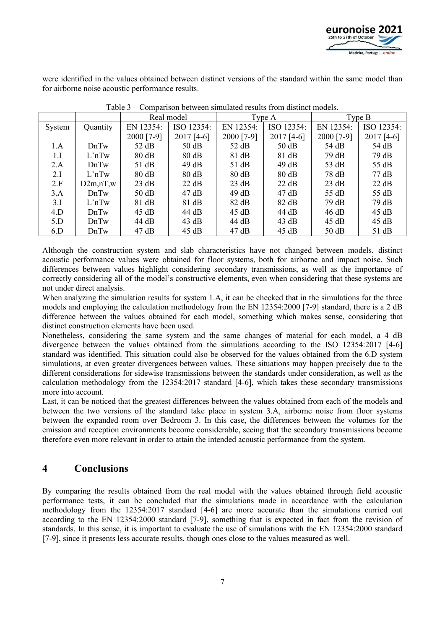

were identified in the values obtained between distinct versions of the standard within the same model than for airborne noise acoustic performance results.

|        |                    | Real model |                 | Type A          |                 | Type B     |                 |
|--------|--------------------|------------|-----------------|-----------------|-----------------|------------|-----------------|
| System | Quantity           | EN 12354:  | ISO 12354:      | EN 12354:       | ISO 12354:      | EN 12354:  | ISO 12354:      |
|        |                    | 2000 [7-9] | $2017$ [4-6]    | 2000 [7-9]      | $2017$ [4-6]    | 2000 [7-9] | $2017$ [4-6]    |
| 1.A    | DnTw               | 52 dB      | 50 dB           | 52 dB           | 50 dB           | 54 dB      | 54 dB           |
| 1.I    | L <sup>1</sup> nTw | 80 dB      | 80 dB           | 81 dB           | 81 dB           | 79 dB      | 79dB            |
| 2.A    | DnTw               | 51 dB      | 49dB            | 51 dB           | 49dB            | 53 dB      | 55 dB           |
| 2.I    | L <sup>1</sup> nTw | 80 dB      | 80 dB           | 80 dB           | $80 \text{ dB}$ | 78 dB      | $77 \text{ dB}$ |
| 2.F    | D2m,nT,w           | 23 dB      | 22 dB           | 23 dB           | 22 dB           | 23 dB      | 22 dB           |
| 3.A    | DnTw               | 50 dB      | $47 \text{ dB}$ | 49 dB           | $47 \text{ dB}$ | 55 dB      | 55 dB           |
| 3.I    | L <sup>1</sup> nTw | 81 dB      | 81 dB           | $82 \text{ dB}$ | 82 dB           | 79 dB      | 79dB            |
| 4.D    | DnTw               | 45 dB      | 44 dB           | $45 \text{ dB}$ | 44 dB           | 46 dB      | 45 dB           |
| 5.D    | DnTw               | 44 dB      | 43 dB           | 44 dB           | 43 dB           | 45 dB      | 45 dB           |
| 6.D    | DnTw               | 47 dB      | 45 dB           | 47 dB           | 45 dB           | 50 dB      | 51 dB           |

Table 3 – Comparison between simulated results from distinct models.

Although the construction system and slab characteristics have not changed between models, distinct acoustic performance values were obtained for floor systems, both for airborne and impact noise. Such differences between values highlight considering secondary transmissions, as well as the importance of correctly considering all of the model's constructive elements, even when considering that these systems are not under direct analysis.

When analyzing the simulation results for system 1.A, it can be checked that in the simulations for the three models and employing the calculation methodology from the EN 12354:2000 [7-9] standard, there is a 2 dB difference between the values obtained for each model, something which makes sense, considering that distinct construction elements have been used.

Nonetheless, considering the same system and the same changes of material for each model, a 4 dB divergence between the values obtained from the simulations according to the ISO 12354:2017 [4-6] standard was identified. This situation could also be observed for the values obtained from the 6.D system simulations, at even greater divergences between values. These situations may happen precisely due to the different considerations for sidewise transmissions between the standards under consideration, as well as the calculation methodology from the 12354:2017 standard [4-6], which takes these secondary transmissions more into account.

Last, it can be noticed that the greatest differences between the values obtained from each of the models and between the two versions of the standard take place in system 3.A, airborne noise from floor systems between the expanded room over Bedroom 3. In this case, the differences between the volumes for the emission and reception environments become considerable, seeing that the secondary transmissions become therefore even more relevant in order to attain the intended acoustic performance from the system.

# **4 Conclusions**

By comparing the results obtained from the real model with the values obtained through field acoustic performance tests, it can be concluded that the simulations made in accordance with the calculation methodology from the 12354:2017 standard [4-6] are more accurate than the simulations carried out according to the EN 12354:2000 standard [7-9], something that is expected in fact from the revision of standards. In this sense, it is important to evaluate the use of simulations with the EN 12354:2000 standard [7-9], since it presents less accurate results, though ones close to the values measured as well.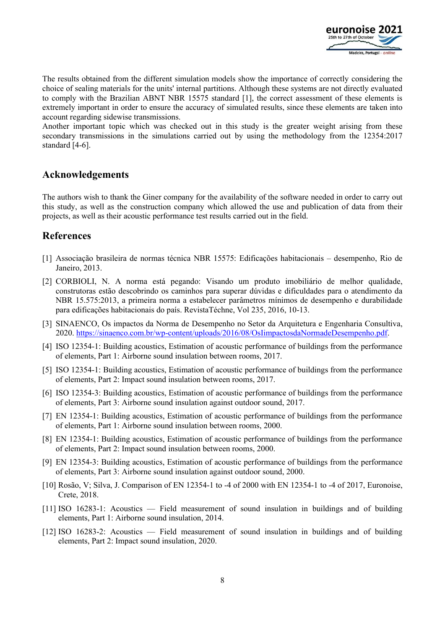

The results obtained from the different simulation models show the importance of correctly considering the choice of sealing materials for the units' internal partitions. Although these systems are not directly evaluated to comply with the Brazilian ABNT NBR 15575 standard [1], the correct assessment of these elements is extremely important in order to ensure the accuracy of simulated results, since these elements are taken into account regarding sidewise transmissions.

Another important topic which was checked out in this study is the greater weight arising from these secondary transmissions in the simulations carried out by using the methodology from the 12354:2017 standard [4-6].

### **Acknowledgements**

The authors wish to thank the Giner company for the availability of the software needed in order to carry out this study, as well as the construction company which allowed the use and publication of data from their projects, as well as their acoustic performance test results carried out in the field.

# **References**

- [1] Associação brasileira de normas técnica NBR 15575: Edificações habitacionais desempenho, Rio de Janeiro, 2013.
- [2] CORBIOLI, N. A norma está pegando: Visando um produto imobiliário de melhor qualidade, construtoras estão descobrindo os caminhos para superar dúvidas e dificuldades para o atendimento da NBR 15.575:2013, a primeira norma a estabelecer parâmetros mínimos de desempenho e durabilidade para edificações habitacionais do país. RevistaTéchne, Vol 235, 2016, 10-13.
- [3] SINAENCO, Os impactos da Norma de Desempenho no Setor da Arquitetura e Engenharia Consultiva, 2020. https://sinaenco.com.br/wp-content/uploads/2016/08/OsIimpactosdaNormadeDesempenho.pdf.
- [4] ISO 12354-1: Building acoustics, Estimation of acoustic performance of buildings from the performance of elements, Part 1: Airborne sound insulation between rooms, 2017.
- [5] ISO 12354-1: Building acoustics, Estimation of acoustic performance of buildings from the performance of elements, Part 2: Impact sound insulation between rooms, 2017.
- [6] ISO 12354-3: Building acoustics, Estimation of acoustic performance of buildings from the performance of elements, Part 3: Airborne sound insulation against outdoor sound, 2017.
- [7] EN 12354-1: Building acoustics, Estimation of acoustic performance of buildings from the performance of elements, Part 1: Airborne sound insulation between rooms, 2000.
- [8] EN 12354-1: Building acoustics, Estimation of acoustic performance of buildings from the performance of elements, Part 2: Impact sound insulation between rooms, 2000.
- [9] EN 12354-3: Building acoustics, Estimation of acoustic performance of buildings from the performance of elements, Part 3: Airborne sound insulation against outdoor sound, 2000.
- [10] Rosão, V; Silva, J. Comparison of EN 12354-1 to -4 of 2000 with EN 12354-1 to -4 of 2017, Euronoise, Crete, 2018.
- [11] ISO 16283-1: Acoustics Field measurement of sound insulation in buildings and of building elements, Part 1: Airborne sound insulation, 2014.
- [12] ISO 16283-2: Acoustics Field measurement of sound insulation in buildings and of building elements, Part 2: Impact sound insulation, 2020.